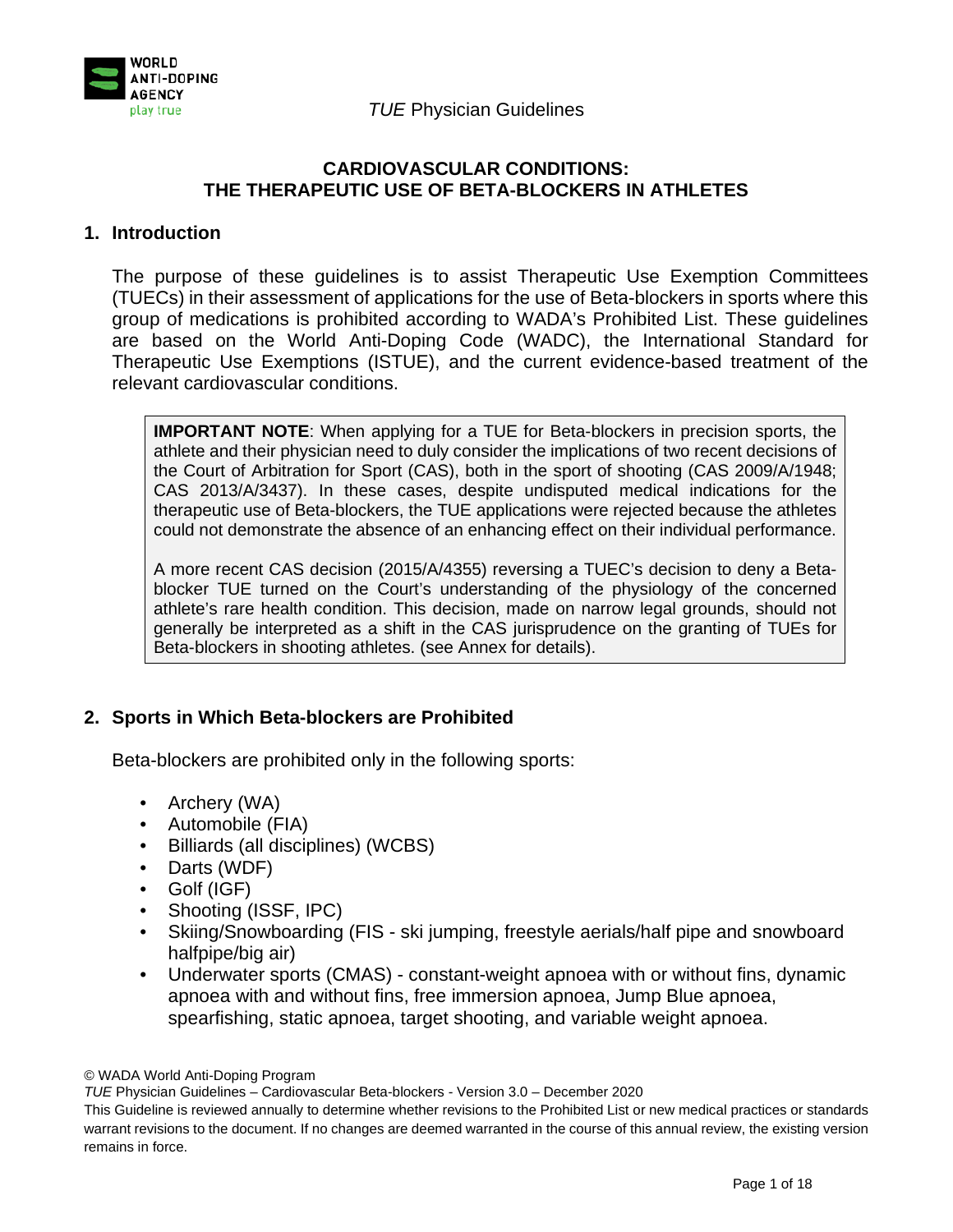

## **CARDIOVASCULAR CONDITIONS: THE THERAPEUTIC USE OF BETA-BLOCKERS IN ATHLETES**

#### **1. Introduction**

The purpose of these guidelines is to assist Therapeutic Use Exemption Committees (TUECs) in their assessment of applications for the use of Beta-blockers in sports where this group of medications is prohibited according to WADA's Prohibited List. These guidelines are based on the World Anti-Doping Code (WADC), the International Standard for Therapeutic Use Exemptions (ISTUE), and the current evidence-based treatment of the relevant cardiovascular conditions.

**IMPORTANT NOTE**: When applying for a TUE for Beta-blockers in precision sports, the athlete and their physician need to duly consider the implications of two recent decisions of the Court of Arbitration for Sport (CAS), both in the sport of shooting (CAS 2009/A/1948; CAS 2013/A/3437). In these cases, despite undisputed medical indications for the therapeutic use of Beta-blockers, the TUE applications were rejected because the athletes could not demonstrate the absence of an enhancing effect on their individual performance.

A more recent CAS decision (2015/A/4355) reversing a TUEC's decision to deny a Betablocker TUE turned on the Court's understanding of the physiology of the concerned athlete's rare health condition. This decision, made on narrow legal grounds, should not generally be interpreted as a shift in the CAS jurisprudence on the granting of TUEs for Beta-blockers in shooting athletes. (see Annex for details).

## **2. Sports in Which Beta-blockers are Prohibited**

Beta-blockers are prohibited only in the following sports:

- Archery (WA)
- Automobile (FIA)
- Billiards (all disciplines) (WCBS)
- Darts (WDF)
- Golf (IGF)
- Shooting (ISSF, IPC)
- Skiing/Snowboarding (FIS ski jumping, freestyle aerials/half pipe and snowboard halfpipe/big air)
- Underwater sports (CMAS) constant-weight apnoea with or without fins, dynamic apnoea with and without fins, free immersion apnoea, Jump Blue apnoea, spearfishing, static apnoea, target shooting, and variable weight apnoea.

<sup>©</sup> WADA World Anti-Doping Program

*TUE* Physician Guidelines – Cardiovascular Beta-blockers - Version 3.0 – December 2020

This Guideline is reviewed annually to determine whether revisions to the Prohibited List or new medical practices or standards warrant revisions to the document. If no changes are deemed warranted in the course of this annual review, the existing version remains in force.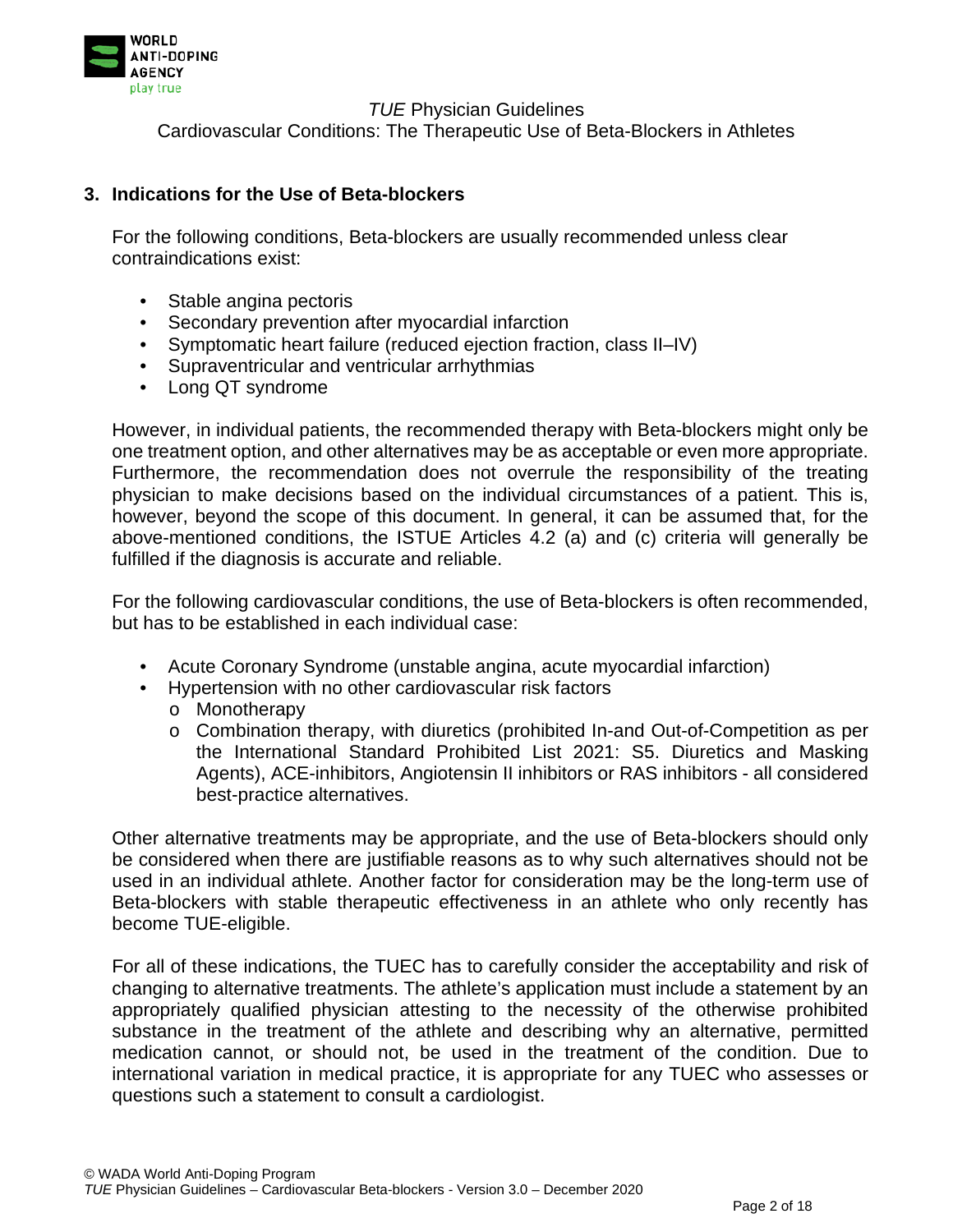

Cardiovascular Conditions: The Therapeutic Use of Beta-Blockers in Athletes

#### **3. Indications for the Use of Beta-blockers**

For the following conditions, Beta-blockers are usually recommended unless clear contraindications exist:

- Stable angina pectoris
- Secondary prevention after myocardial infarction
- Symptomatic heart failure (reduced ejection fraction, class II–IV)
- Supraventricular and ventricular arrhythmias
- Long QT syndrome

However, in individual patients, the recommended therapy with Beta-blockers might only be one treatment option, and other alternatives may be as acceptable or even more appropriate. Furthermore, the recommendation does not overrule the responsibility of the treating physician to make decisions based on the individual circumstances of a patient. This is, however, beyond the scope of this document. In general, it can be assumed that, for the above-mentioned conditions, the ISTUE Articles 4.2 (a) and (c) criteria will generally be fulfilled if the diagnosis is accurate and reliable.

For the following cardiovascular conditions, the use of Beta-blockers is often recommended, but has to be established in each individual case:

- Acute Coronary Syndrome (unstable angina, acute myocardial infarction)
- Hypertension with no other cardiovascular risk factors o Monotherapy
	- o Combination therapy, with diuretics (prohibited In-and Out-of-Competition as per the International Standard Prohibited List 2021: S5. Diuretics and Masking Agents), ACE-inhibitors, Angiotensin II inhibitors or RAS inhibitors - all considered best-practice alternatives.

Other alternative treatments may be appropriate, and the use of Beta-blockers should only be considered when there are justifiable reasons as to why such alternatives should not be used in an individual athlete. Another factor for consideration may be the long-term use of Beta-blockers with stable therapeutic effectiveness in an athlete who only recently has become TUE-eligible.

For all of these indications, the TUEC has to carefully consider the acceptability and risk of changing to alternative treatments. The athlete's application must include a statement by an appropriately qualified physician attesting to the necessity of the otherwise prohibited substance in the treatment of the athlete and describing why an alternative, permitted medication cannot, or should not, be used in the treatment of the condition. Due to international variation in medical practice, it is appropriate for any TUEC who assesses or questions such a statement to consult a cardiologist.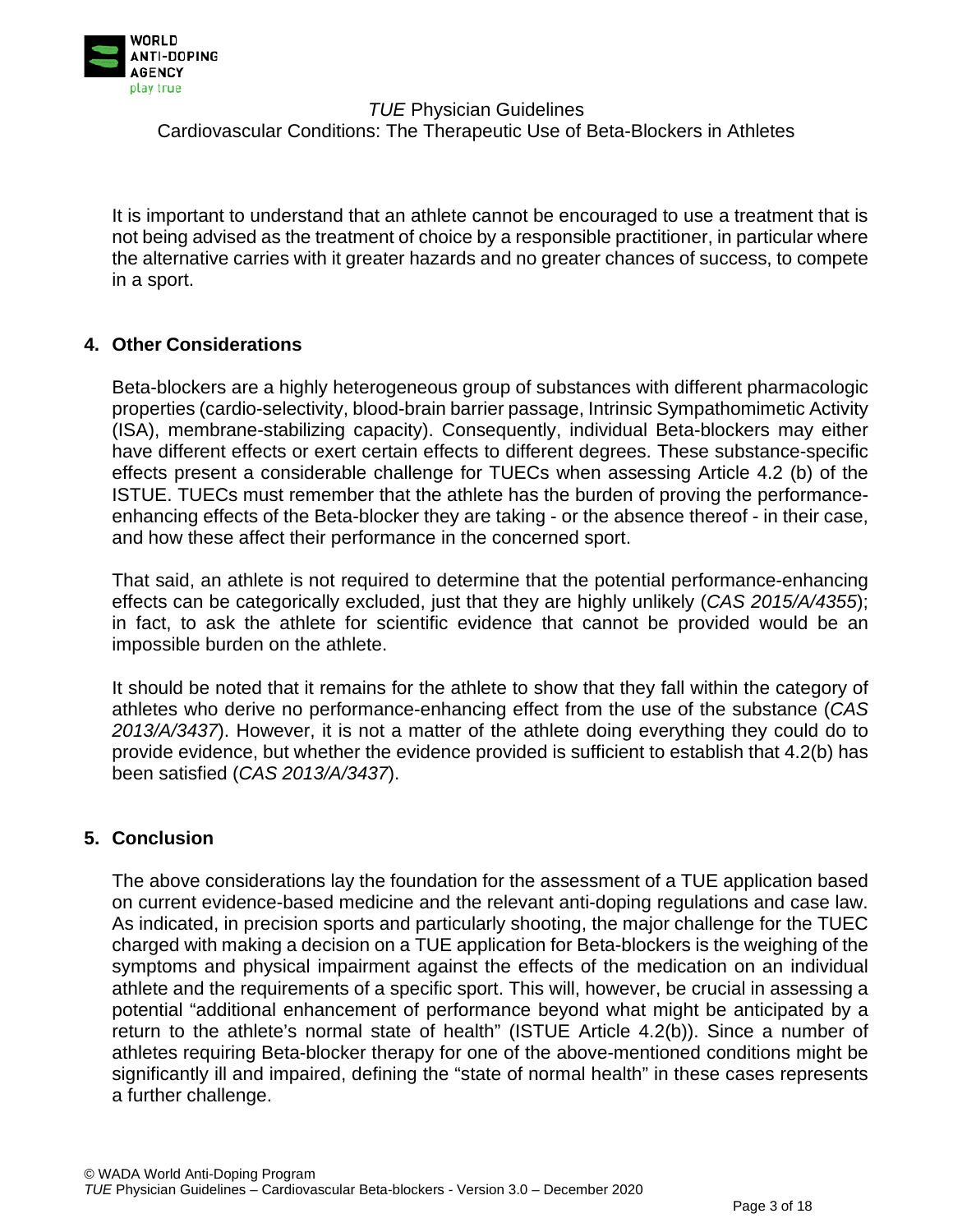

It is important to understand that an athlete cannot be encouraged to use a treatment that is not being advised as the treatment of choice by a responsible practitioner, in particular where the alternative carries with it greater hazards and no greater chances of success, to compete in a sport.

## **4. Other Considerations**

Beta-blockers are a highly heterogeneous group of substances with different pharmacologic properties (cardio-selectivity, blood-brain barrier passage, Intrinsic Sympathomimetic Activity (ISA), membrane-stabilizing capacity). Consequently, individual Beta-blockers may either have different effects or exert certain effects to different degrees. These substance-specific effects present a considerable challenge for TUECs when assessing Article 4.2 (b) of the ISTUE. TUECs must remember that the athlete has the burden of proving the performanceenhancing effects of the Beta-blocker they are taking - or the absence thereof - in their case, and how these affect their performance in the concerned sport.

That said, an athlete is not required to determine that the potential performance-enhancing effects can be categorically excluded, just that they are highly unlikely (*CAS 2015/A/4355*); in fact, to ask the athlete for scientific evidence that cannot be provided would be an impossible burden on the athlete.

It should be noted that it remains for the athlete to show that they fall within the category of athletes who derive no performance-enhancing effect from the use of the substance (*CAS 2013/A/3437*). However, it is not a matter of the athlete doing everything they could do to provide evidence, but whether the evidence provided is sufficient to establish that 4.2(b) has been satisfied (*CAS 2013/A/3437*).

## **5. Conclusion**

The above considerations lay the foundation for the assessment of a TUE application based on current evidence-based medicine and the relevant anti-doping regulations and case law. As indicated, in precision sports and particularly shooting, the major challenge for the TUEC charged with making a decision on a TUE application for Beta-blockers is the weighing of the symptoms and physical impairment against the effects of the medication on an individual athlete and the requirements of a specific sport. This will, however, be crucial in assessing a potential "additional enhancement of performance beyond what might be anticipated by a return to the athlete's normal state of health" (ISTUE Article 4.2(b)). Since a number of athletes requiring Beta-blocker therapy for one of the above-mentioned conditions might be significantly ill and impaired, defining the "state of normal health" in these cases represents a further challenge.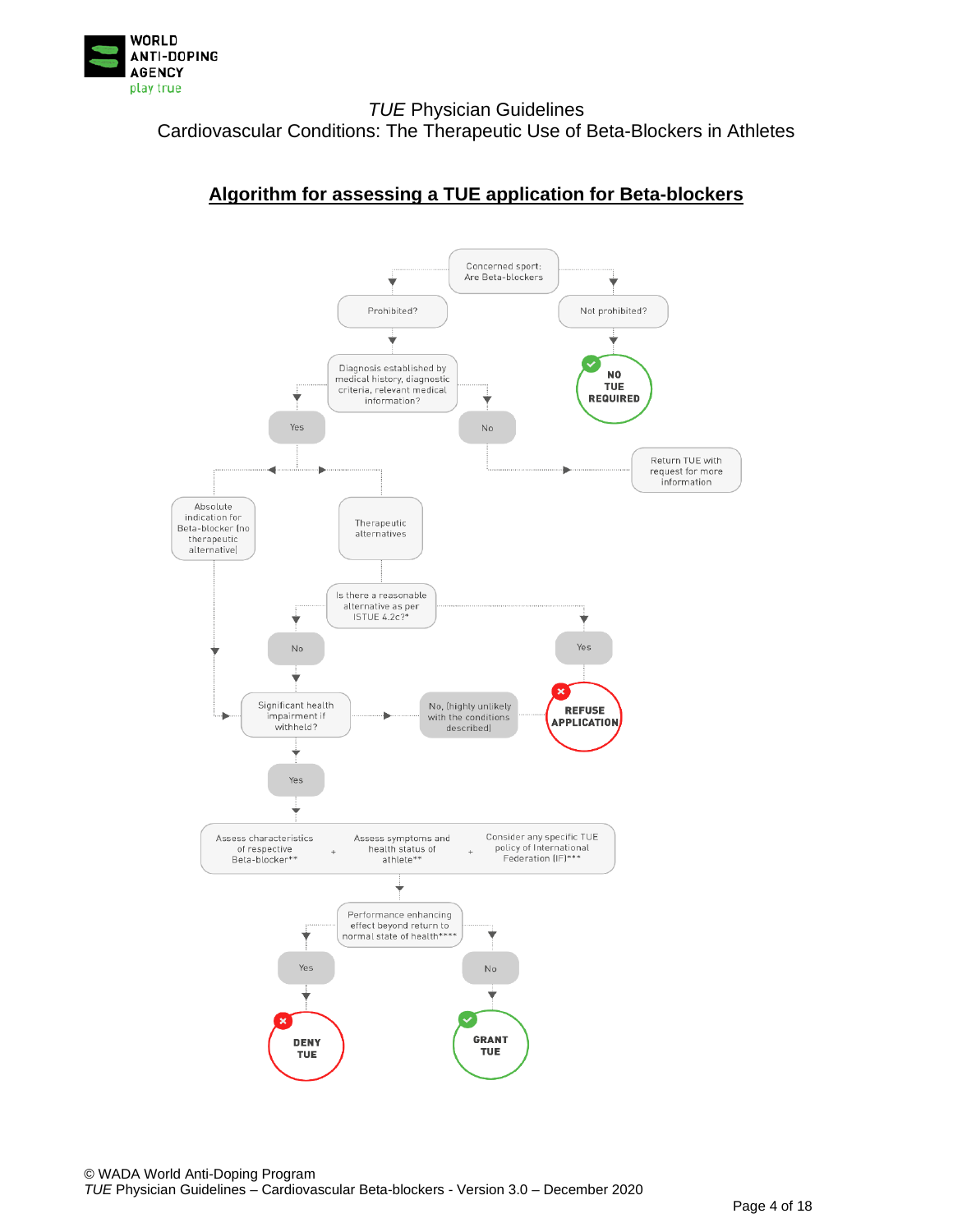

# **Algorithm for assessing a TUE application for Beta-blockers**

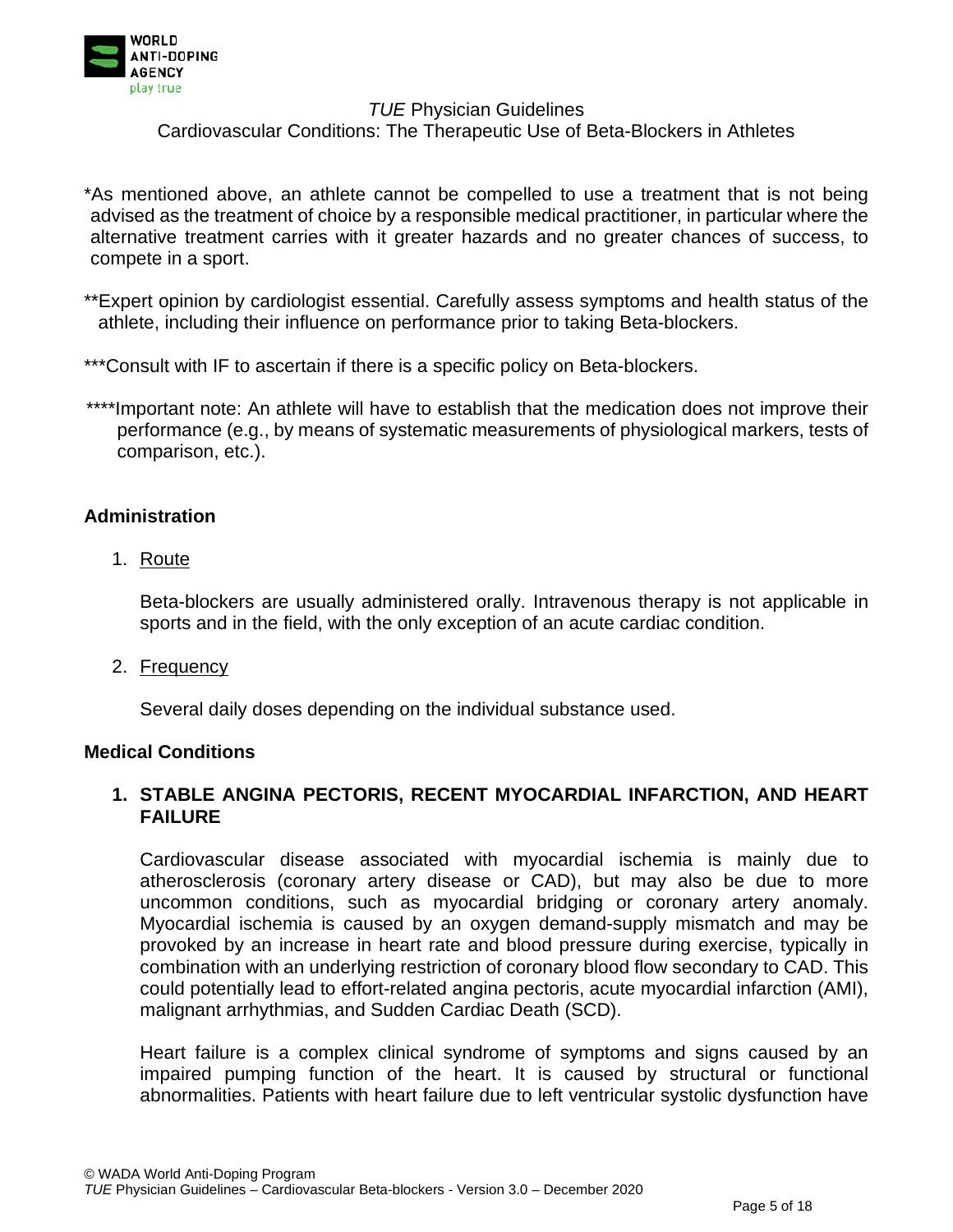

Cardiovascular Conditions: The Therapeutic Use of Beta-Blockers in Athletes

\*As mentioned above, an athlete cannot be compelled to use a treatment that is not being advised as the treatment of choice by a responsible medical practitioner, in particular where the alternative treatment carries with it greater hazards and no greater chances of success, to compete in a sport.

- \*\*Expert opinion by cardiologist essential. Carefully assess symptoms and health status of the athlete, including their influence on performance prior to taking Beta-blockers.
- \*\*\*Consult with IF to ascertain if there is a specific policy on Beta-blockers.
- \*\*\*\*Important note: An athlete will have to establish that the medication does not improve their performance (e.g., by means of systematic measurements of physiological markers, tests of comparison, etc.).

## **Administration**

1. Route

Beta-blockers are usually administered orally. Intravenous therapy is not applicable in sports and in the field, with the only exception of an acute cardiac condition.

2. Frequency

Several daily doses depending on the individual substance used.

#### **Medical Conditions**

## **1. STABLE ANGINA PECTORIS, RECENT MYOCARDIAL INFARCTION, AND HEART FAILURE**

Cardiovascular disease associated with myocardial ischemia is mainly due to atherosclerosis (coronary artery disease or CAD), but may also be due to more uncommon conditions, such as myocardial bridging or coronary artery anomaly. Myocardial ischemia is caused by an oxygen demand-supply mismatch and may be provoked by an increase in heart rate and blood pressure during exercise, typically in combination with an underlying restriction of coronary blood flow secondary to CAD. This could potentially lead to effort-related angina pectoris, acute myocardial infarction (AMI), malignant arrhythmias, and Sudden Cardiac Death (SCD).

Heart failure is a complex clinical syndrome of symptoms and signs caused by an impaired pumping function of the heart. It is caused by structural or functional abnormalities. Patients with heart failure due to left ventricular systolic dysfunction have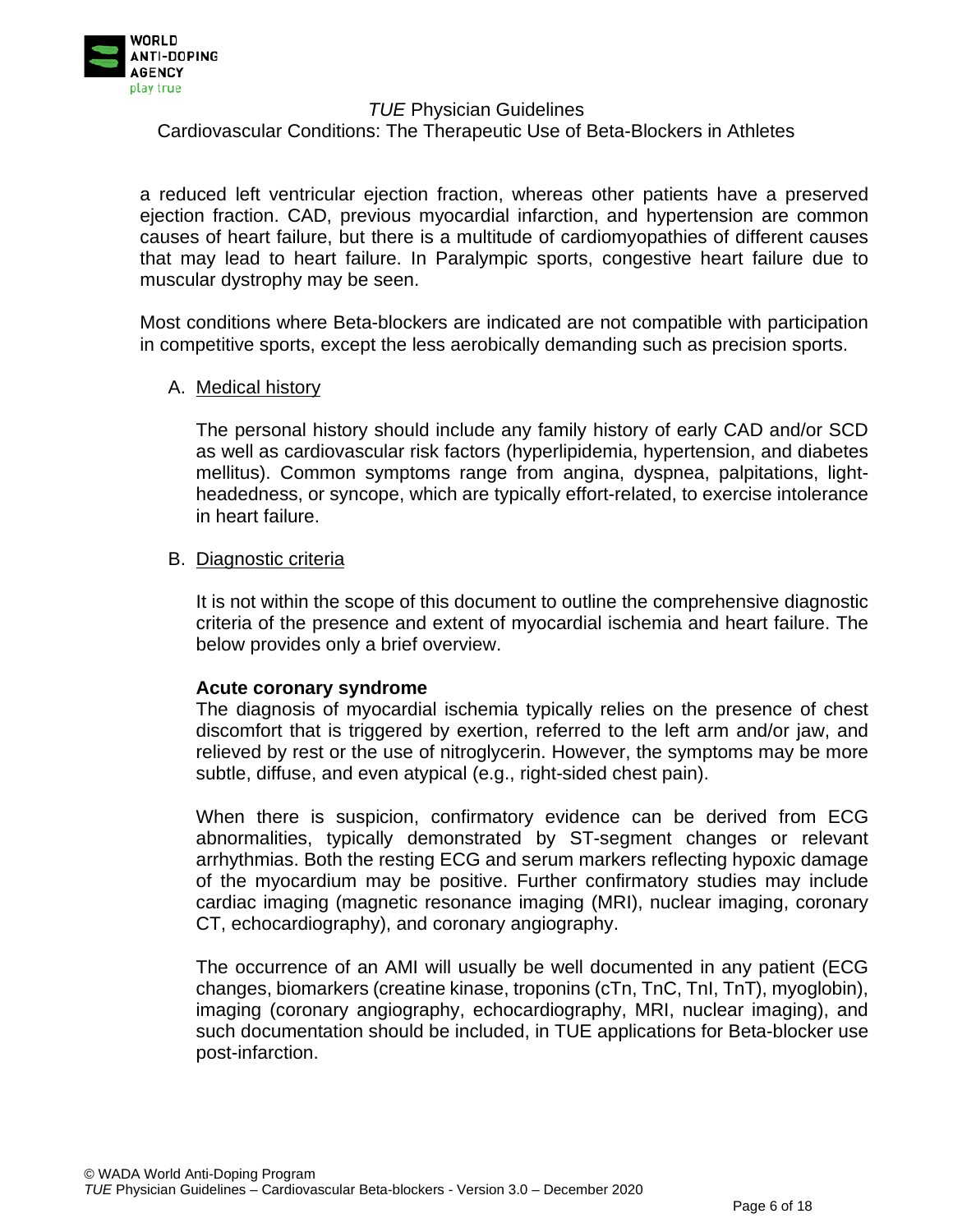

Cardiovascular Conditions: The Therapeutic Use of Beta-Blockers in Athletes

a reduced left ventricular ejection fraction, whereas other patients have a preserved ejection fraction. CAD, previous myocardial infarction, and hypertension are common causes of heart failure, but there is a multitude of cardiomyopathies of different causes that may lead to heart failure. In Paralympic sports, congestive heart failure due to muscular dystrophy may be seen.

Most conditions where Beta-blockers are indicated are not compatible with participation in competitive sports, except the less aerobically demanding such as precision sports.

#### A. Medical history

The personal history should include any family history of early CAD and/or SCD as well as cardiovascular risk factors (hyperlipidemia, hypertension, and diabetes mellitus). Common symptoms range from angina, dyspnea, palpitations, lightheadedness, or syncope, which are typically effort-related, to exercise intolerance in heart failure.

#### B. Diagnostic criteria

It is not within the scope of this document to outline the comprehensive diagnostic criteria of the presence and extent of myocardial ischemia and heart failure. The below provides only a brief overview.

#### **Acute coronary syndrome**

The diagnosis of myocardial ischemia typically relies on the presence of chest discomfort that is triggered by exertion, referred to the left arm and/or jaw, and relieved by rest or the use of nitroglycerin. However, the symptoms may be more subtle, diffuse, and even atypical (e.g., right-sided chest pain).

When there is suspicion, confirmatory evidence can be derived from ECG abnormalities, typically demonstrated by ST-segment changes or relevant arrhythmias. Both the resting ECG and serum markers reflecting hypoxic damage of the myocardium may be positive. Further confirmatory studies may include cardiac imaging (magnetic resonance imaging (MRI), nuclear imaging, coronary CT, echocardiography), and coronary angiography.

The occurrence of an AMI will usually be well documented in any patient (ECG changes, biomarkers (creatine kinase, troponins (cTn, TnC, TnI, TnT), myoglobin), imaging (coronary angiography, echocardiography, MRI, nuclear imaging), and such documentation should be included, in TUE applications for Beta-blocker use post-infarction.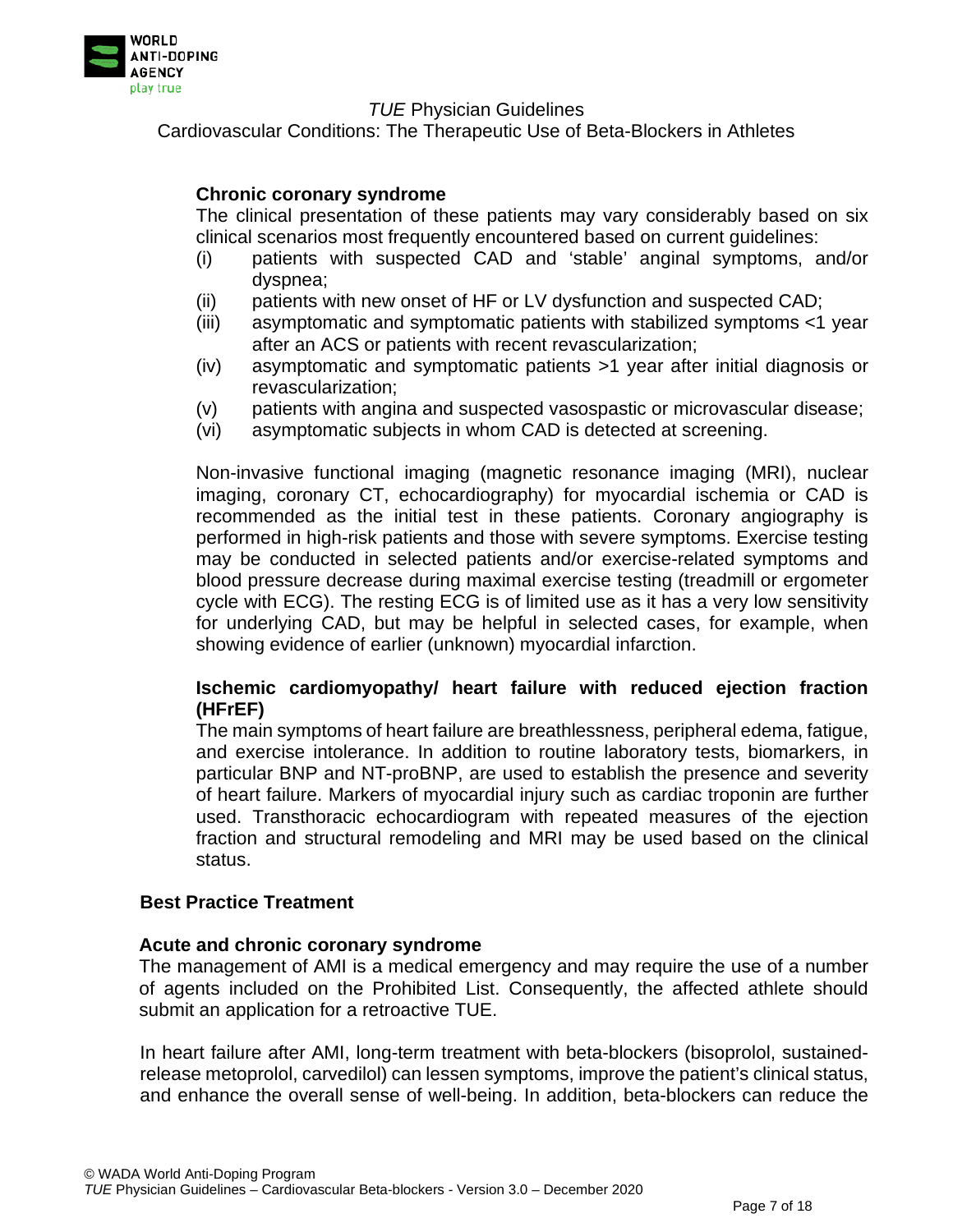

Cardiovascular Conditions: The Therapeutic Use of Beta-Blockers in Athletes

## **Chronic coronary syndrome**

The clinical presentation of these patients may vary considerably based on six clinical scenarios most frequently encountered based on current guidelines:

- (i) patients with suspected CAD and 'stable' anginal symptoms, and/or dyspnea;
- (ii) patients with new onset of HF or LV dysfunction and suspected CAD;
- (iii) asymptomatic and symptomatic patients with stabilized symptoms <1 year after an ACS or patients with recent revascularization;
- (iv) asymptomatic and symptomatic patients >1 year after initial diagnosis or revascularization;
- (v) patients with angina and suspected vasospastic or microvascular disease;
- (vi) asymptomatic subjects in whom CAD is detected at screening.

Non-invasive functional imaging (magnetic resonance imaging (MRI), nuclear imaging, coronary CT, echocardiography) for myocardial ischemia or CAD is recommended as the initial test in these patients. Coronary angiography is performed in high-risk patients and those with severe symptoms. Exercise testing may be conducted in selected patients and/or exercise-related symptoms and blood pressure decrease during maximal exercise testing (treadmill or ergometer cycle with ECG). The resting ECG is of limited use as it has a very low sensitivity for underlying CAD, but may be helpful in selected cases, for example, when showing evidence of earlier (unknown) myocardial infarction.

## **Ischemic cardiomyopathy/ heart failure with reduced ejection fraction (HFrEF)**

The main symptoms of heart failure are breathlessness, peripheral edema, fatigue, and exercise intolerance. In addition to routine laboratory tests, biomarkers, in particular BNP and NT-proBNP, are used to establish the presence and severity of heart failure. Markers of myocardial injury such as cardiac troponin are further used. Transthoracic echocardiogram with repeated measures of the ejection fraction and structural remodeling and MRI may be used based on the clinical status.

## **Best Practice Treatment**

#### **Acute and chronic coronary syndrome**

The management of AMI is a medical emergency and may require the use of a number of agents included on the Prohibited List. Consequently, the affected athlete should submit an application for a retroactive TUE.

In heart failure after AMI, long-term treatment with beta-blockers (bisoprolol, sustainedrelease metoprolol, carvedilol) can lessen symptoms, improve the patient's clinical status, and enhance the overall sense of well-being. In addition, beta-blockers can reduce the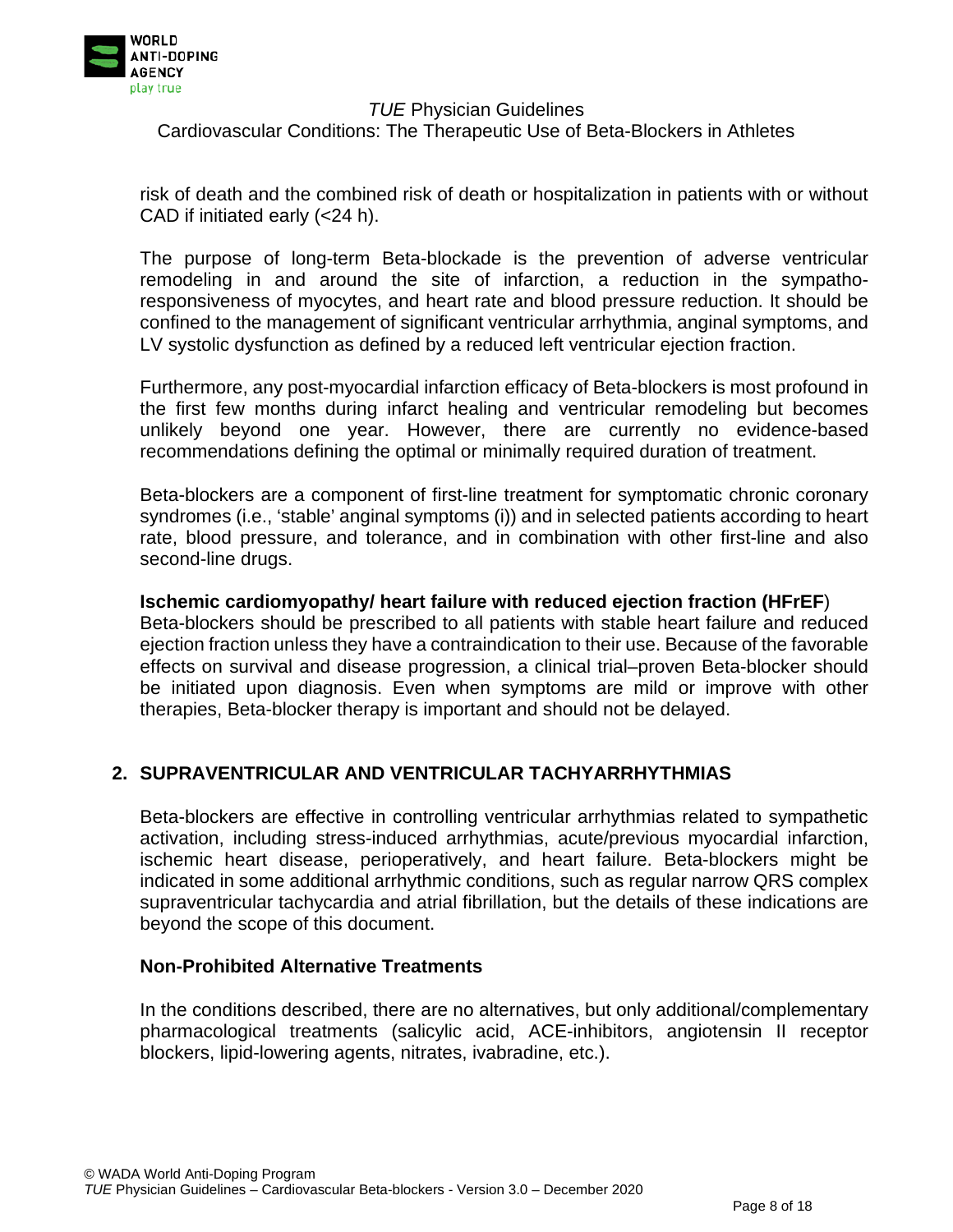

Cardiovascular Conditions: The Therapeutic Use of Beta-Blockers in Athletes

risk of death and the combined risk of death or hospitalization in patients with or without CAD if initiated early (<24 h).

The purpose of long-term Beta-blockade is the prevention of adverse ventricular remodeling in and around the site of infarction, a reduction in the sympathoresponsiveness of myocytes, and heart rate and blood pressure reduction. It should be confined to the management of significant ventricular arrhythmia, anginal symptoms, and LV systolic dysfunction as defined by a reduced left ventricular ejection fraction.

Furthermore, any post-myocardial infarction efficacy of Beta-blockers is most profound in the first few months during infarct healing and ventricular remodeling but becomes unlikely beyond one year. However, there are currently no evidence-based recommendations defining the optimal or minimally required duration of treatment.

Beta-blockers are a component of first-line treatment for symptomatic chronic coronary syndromes (i.e., 'stable' anginal symptoms (i)) and in selected patients according to heart rate, blood pressure, and tolerance, and in combination with other first-line and also second-line drugs.

#### **Ischemic cardiomyopathy/ heart failure with reduced ejection fraction (HFrEF**)

Beta-blockers should be prescribed to all patients with stable heart failure and reduced ejection fraction unless they have a contraindication to their use. Because of the favorable effects on survival and disease progression, a clinical trial–proven Beta-blocker should be initiated upon diagnosis. Even when symptoms are mild or improve with other therapies, Beta-blocker therapy is important and should not be delayed.

## **2. SUPRAVENTRICULAR AND VENTRICULAR TACHYARRHYTHMIAS**

Beta-blockers are effective in controlling ventricular arrhythmias related to sympathetic activation, including stress-induced arrhythmias, acute/previous myocardial infarction, ischemic heart disease, perioperatively, and heart failure. Beta-blockers might be indicated in some additional arrhythmic conditions, such as regular narrow QRS complex supraventricular tachycardia and atrial fibrillation, but the details of these indications are beyond the scope of this document.

#### **Non-Prohibited Alternative Treatments**

In the conditions described, there are no alternatives, but only additional/complementary pharmacological treatments (salicylic acid, ACE-inhibitors, angiotensin II receptor blockers, lipid-lowering agents, nitrates, ivabradine, etc.).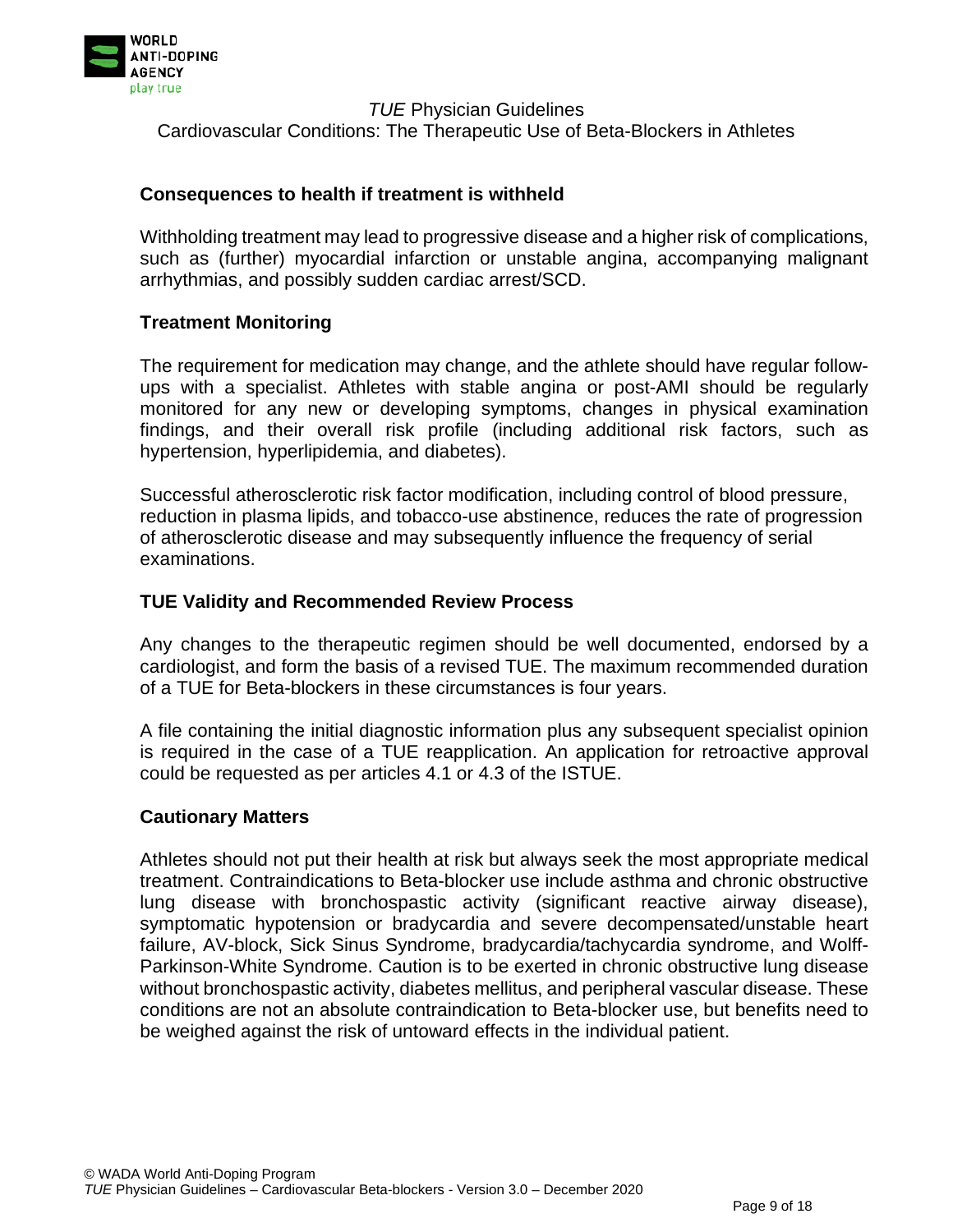

#### **Consequences to health if treatment is withheld**

Withholding treatment may lead to progressive disease and a higher risk of complications, such as (further) myocardial infarction or unstable angina, accompanying malignant arrhythmias, and possibly sudden cardiac arrest/SCD.

#### **Treatment Monitoring**

The requirement for medication may change, and the athlete should have regular followups with a specialist. Athletes with stable angina or post-AMI should be regularly monitored for any new or developing symptoms, changes in physical examination findings, and their overall risk profile (including additional risk factors, such as hypertension, hyperlipidemia, and diabetes).

Successful atherosclerotic risk factor modification, including control of blood pressure, reduction in plasma lipids, and tobacco-use abstinence, reduces the rate of progression of atherosclerotic disease and may subsequently influence the frequency of serial examinations.

#### **TUE Validity and Recommended Review Process**

Any changes to the therapeutic regimen should be well documented, endorsed by a cardiologist, and form the basis of a revised TUE. The maximum recommended duration of a TUE for Beta-blockers in these circumstances is four years.

A file containing the initial diagnostic information plus any subsequent specialist opinion is required in the case of a TUE reapplication. An application for retroactive approval could be requested as per articles 4.1 or 4.3 of the ISTUE.

#### **Cautionary Matters**

Athletes should not put their health at risk but always seek the most appropriate medical treatment. Contraindications to Beta-blocker use include asthma and chronic obstructive lung disease with bronchospastic activity (significant reactive airway disease), symptomatic hypotension or bradycardia and severe decompensated/unstable heart failure, AV-block, Sick Sinus Syndrome, bradycardia/tachycardia syndrome, and Wolff-Parkinson-White Syndrome. Caution is to be exerted in chronic obstructive lung disease without bronchospastic activity, diabetes mellitus, and peripheral vascular disease. These conditions are not an absolute contraindication to Beta-blocker use, but benefits need to be weighed against the risk of untoward effects in the individual patient.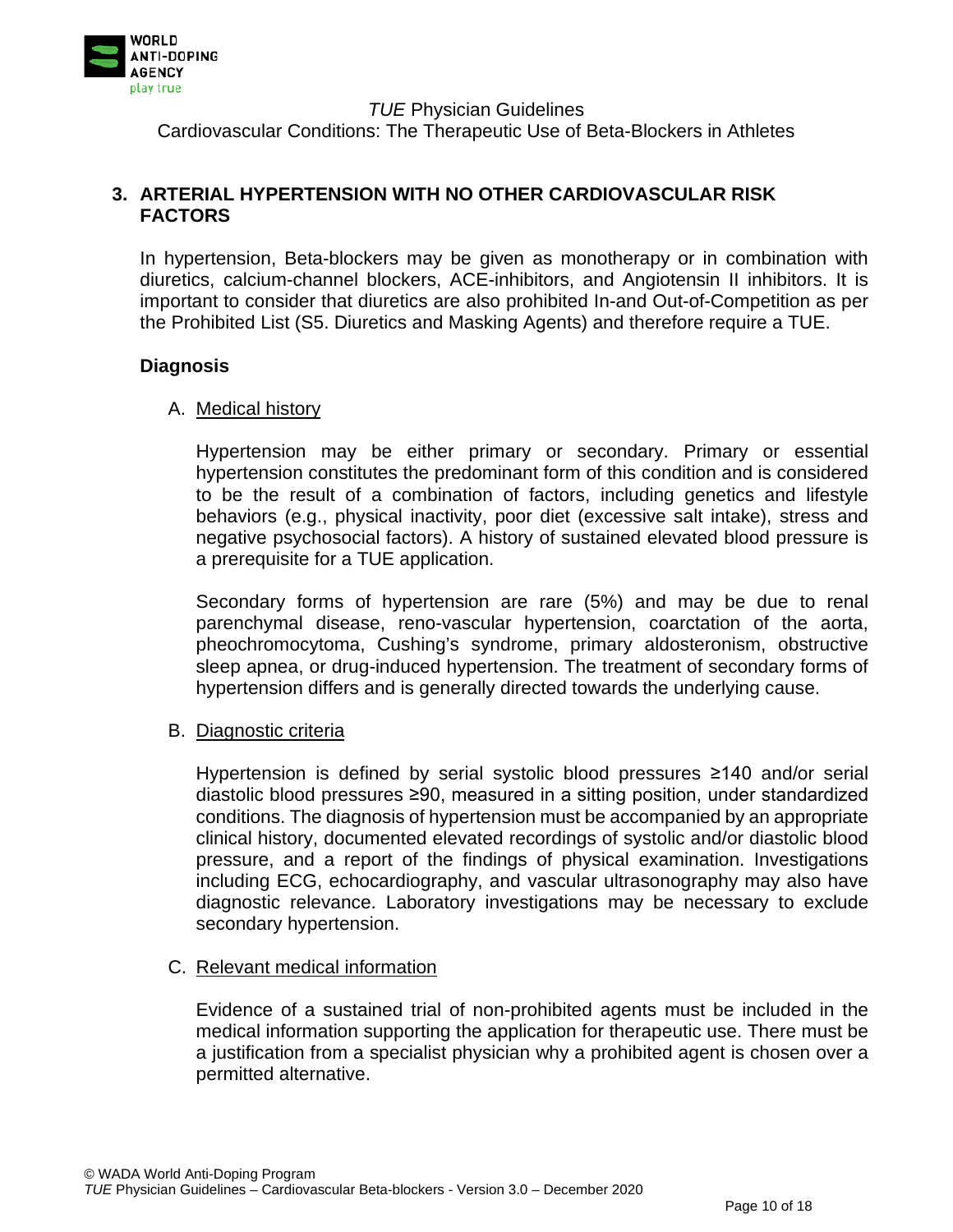

Cardiovascular Conditions: The Therapeutic Use of Beta-Blockers in Athletes

## **3. ARTERIAL HYPERTENSION WITH NO OTHER CARDIOVASCULAR RISK FACTORS**

In hypertension, Beta-blockers may be given as monotherapy or in combination with diuretics, calcium-channel blockers, ACE-inhibitors, and Angiotensin II inhibitors. It is important to consider that diuretics are also prohibited In-and Out-of-Competition as per the Prohibited List (S5. Diuretics and Masking Agents) and therefore require a TUE.

## **Diagnosis**

## A. Medical history

Hypertension may be either primary or secondary. Primary or essential hypertension constitutes the predominant form of this condition and is considered to be the result of a combination of factors, including genetics and lifestyle behaviors (e.g., physical inactivity, poor diet (excessive salt intake), stress and negative psychosocial factors). A history of sustained elevated blood pressure is a prerequisite for a TUE application.

Secondary forms of hypertension are rare (5%) and may be due to renal parenchymal disease, reno-vascular hypertension, coarctation of the aorta, pheochromocytoma, Cushing's syndrome, primary aldosteronism, obstructive sleep apnea, or drug-induced hypertension. The treatment of secondary forms of hypertension differs and is generally directed towards the underlying cause.

## B. Diagnostic criteria

Hypertension is defined by serial systolic blood pressures ≥140 and/or serial diastolic blood pressures ≥90, measured in a sitting position, under standardized conditions. The diagnosis of hypertension must be accompanied by an appropriate clinical history, documented elevated recordings of systolic and/or diastolic blood pressure, and a report of the findings of physical examination. Investigations including ECG, echocardiography, and vascular ultrasonography may also have diagnostic relevance. Laboratory investigations may be necessary to exclude secondary hypertension.

## C. Relevant medical information

Evidence of a sustained trial of non-prohibited agents must be included in the medical information supporting the application for therapeutic use. There must be a justification from a specialist physician why a prohibited agent is chosen over a permitted alternative.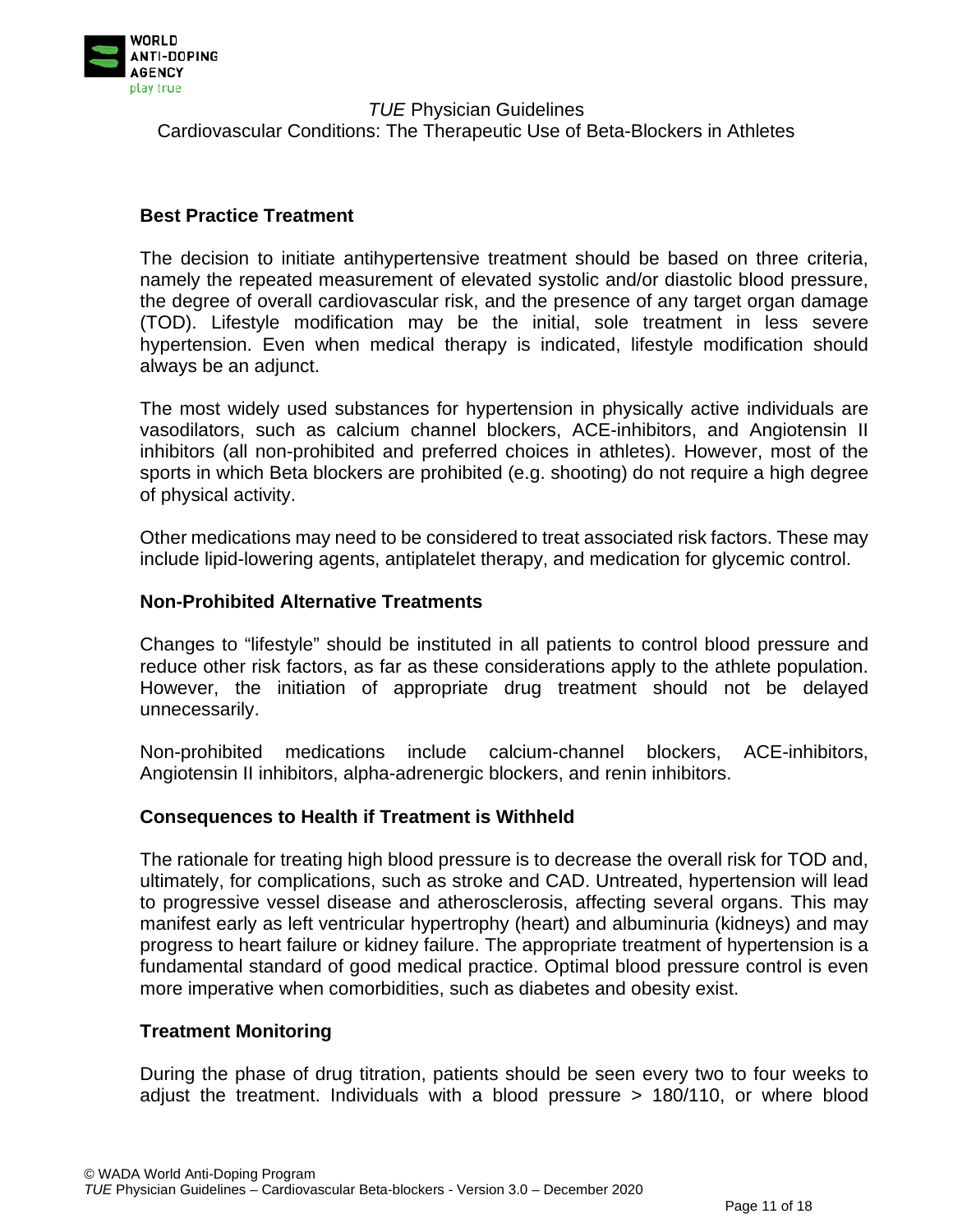

## **Best Practice Treatment**

The decision to initiate antihypertensive treatment should be based on three criteria, namely the repeated measurement of elevated systolic and/or diastolic blood pressure, the degree of overall cardiovascular risk, and the presence of any target organ damage (TOD). Lifestyle modification may be the initial, sole treatment in less severe hypertension. Even when medical therapy is indicated, lifestyle modification should always be an adjunct.

The most widely used substances for hypertension in physically active individuals are vasodilators, such as calcium channel blockers, ACE-inhibitors, and Angiotensin II inhibitors (all non-prohibited and preferred choices in athletes). However, most of the sports in which Beta blockers are prohibited (e.g. shooting) do not require a high degree of physical activity.

Other medications may need to be considered to treat associated risk factors. These may include lipid-lowering agents, antiplatelet therapy, and medication for glycemic control.

## **Non-Prohibited Alternative Treatments**

Changes to "lifestyle" should be instituted in all patients to control blood pressure and reduce other risk factors, as far as these considerations apply to the athlete population. However, the initiation of appropriate drug treatment should not be delayed unnecessarily.

Non-prohibited medications include calcium-channel blockers, ACE-inhibitors, Angiotensin II inhibitors, alpha-adrenergic blockers, and renin inhibitors.

## **Consequences to Health if Treatment is Withheld**

The rationale for treating high blood pressure is to decrease the overall risk for TOD and, ultimately, for complications, such as stroke and CAD. Untreated, hypertension will lead to progressive vessel disease and atherosclerosis, affecting several organs. This may manifest early as left ventricular hypertrophy (heart) and albuminuria (kidneys) and may progress to heart failure or kidney failure. The appropriate treatment of hypertension is a fundamental standard of good medical practice. Optimal blood pressure control is even more imperative when comorbidities, such as diabetes and obesity exist.

## **Treatment Monitoring**

During the phase of drug titration, patients should be seen every two to four weeks to adjust the treatment. Individuals with a blood pressure > 180/110, or where blood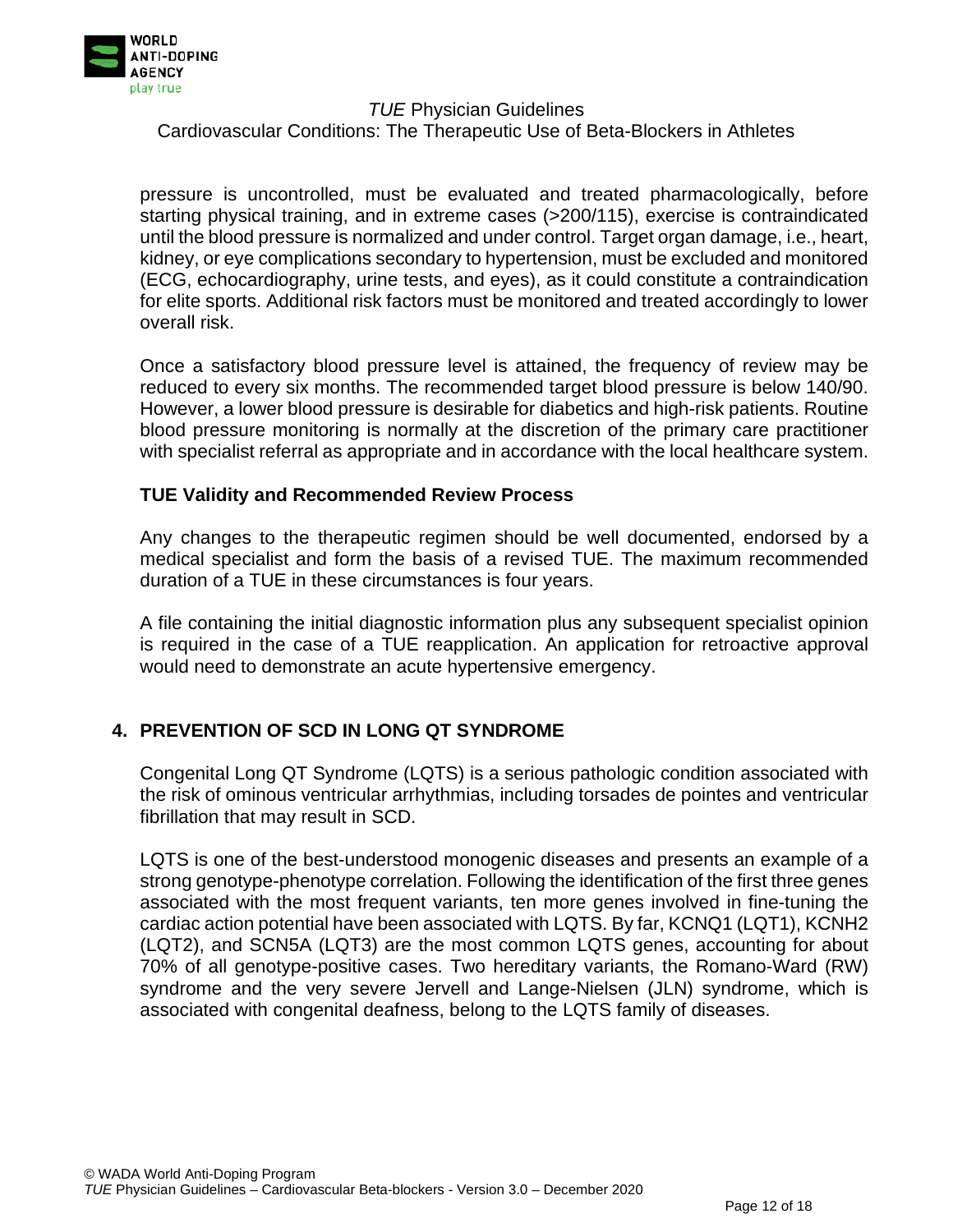

Cardiovascular Conditions: The Therapeutic Use of Beta-Blockers in Athletes

pressure is uncontrolled, must be evaluated and treated pharmacologically, before starting physical training, and in extreme cases (>200/115), exercise is contraindicated until the blood pressure is normalized and under control. Target organ damage, i.e., heart, kidney, or eye complications secondary to hypertension, must be excluded and monitored (ECG, echocardiography, urine tests, and eyes), as it could constitute a contraindication for elite sports. Additional risk factors must be monitored and treated accordingly to lower overall risk.

Once a satisfactory blood pressure level is attained, the frequency of review may be reduced to every six months. The recommended target blood pressure is below 140/90. However, a lower blood pressure is desirable for diabetics and high-risk patients. Routine blood pressure monitoring is normally at the discretion of the primary care practitioner with specialist referral as appropriate and in accordance with the local healthcare system.

## **TUE Validity and Recommended Review Process**

Any changes to the therapeutic regimen should be well documented, endorsed by a medical specialist and form the basis of a revised TUE. The maximum recommended duration of a TUE in these circumstances is four years.

A file containing the initial diagnostic information plus any subsequent specialist opinion is required in the case of a TUE reapplication. An application for retroactive approval would need to demonstrate an acute hypertensive emergency.

## **4. PREVENTION OF SCD IN LONG QT SYNDROME**

Congenital Long QT Syndrome (LQTS) is a serious pathologic condition associated with the risk of ominous ventricular arrhythmias, including torsades de pointes and ventricular fibrillation that may result in SCD.

LQTS is one of the best-understood monogenic diseases and presents an example of a strong genotype-phenotype correlation. Following the identification of the first three genes associated with the most frequent variants, ten more genes involved in fine-tuning the cardiac action potential have been associated with LQTS. By far, KCNQ1 (LQT1), KCNH2 (LQT2), and SCN5A (LQT3) are the most common LQTS genes, accounting for about 70% of all genotype-positive cases. Two hereditary variants, the Romano-Ward (RW) syndrome and the very severe Jervell and Lange-Nielsen (JLN) syndrome, which is associated with congenital deafness, belong to the LQTS family of diseases.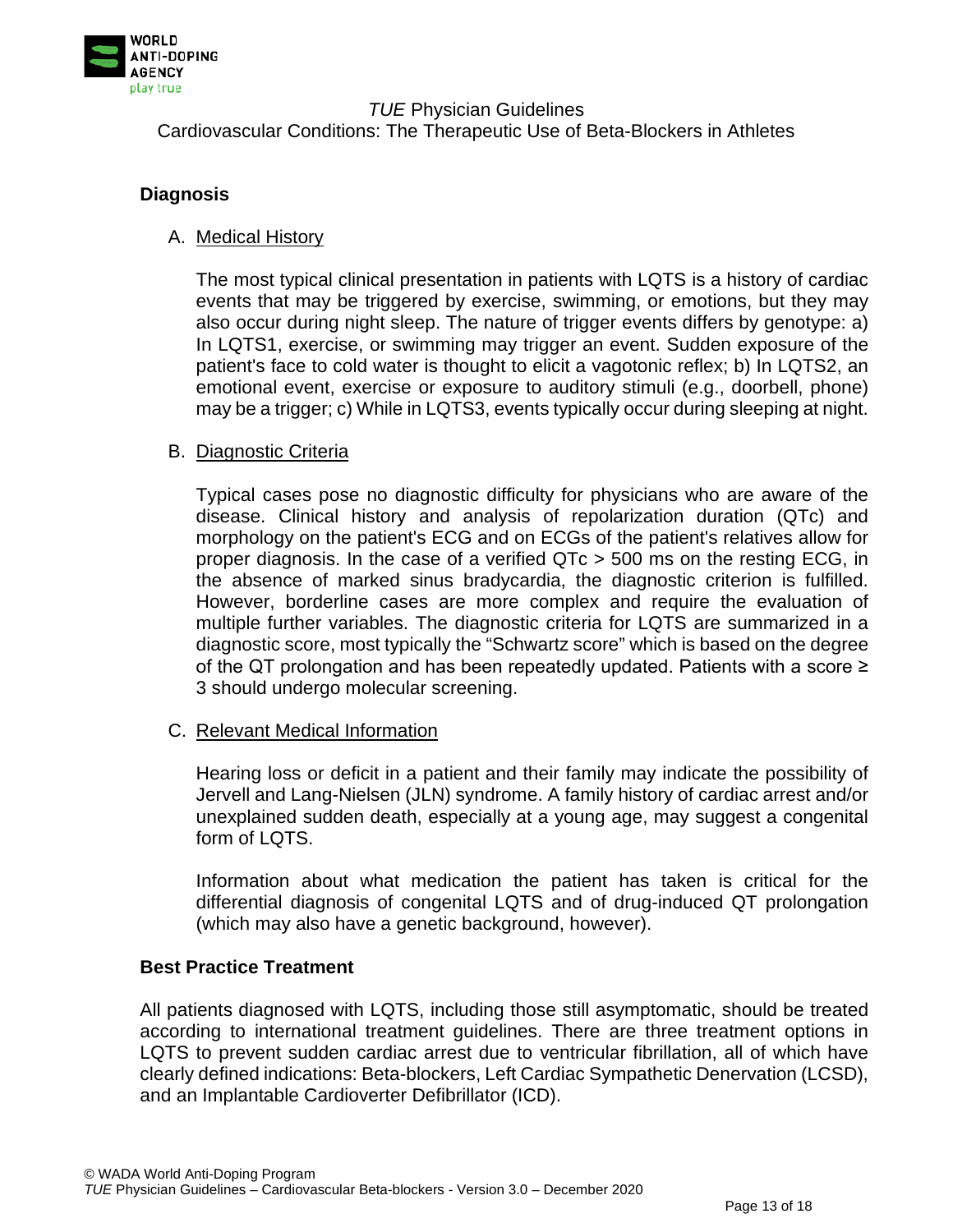

## **Diagnosis**

## A. Medical History

The most typical clinical presentation in patients with LQTS is a history of cardiac events that may be triggered by exercise, swimming, or emotions, but they may also occur during night sleep. The nature of trigger events differs by genotype: a) In LQTS1, exercise, or swimming may trigger an event. Sudden exposure of the patient's face to cold water is thought to elicit a vagotonic reflex; b) In LQTS2, an emotional event, exercise or exposure to auditory stimuli (e.g., doorbell, phone) may be a trigger; c) While in LQTS3, events typically occur during sleeping at night.

## B. Diagnostic Criteria

Typical cases pose no diagnostic difficulty for physicians who are aware of the disease. Clinical history and analysis of repolarization duration (QTc) and morphology on the patient's ECG and on ECGs of the patient's relatives allow for proper diagnosis. In the case of a verified QTc > 500 ms on the resting ECG, in the absence of marked sinus bradycardia, the diagnostic criterion is fulfilled. However, borderline cases are more complex and require the evaluation of multiple further variables. The diagnostic criteria for LQTS are summarized in a diagnostic score, most typically the "Schwartz score" which is based on the degree of the QT prolongation and has been repeatedly updated. Patients with a score ≥ 3 should undergo molecular screening.

## C. Relevant Medical Information

Hearing loss or deficit in a patient and their family may indicate the possibility of Jervell and Lang-Nielsen (JLN) syndrome. A family history of cardiac arrest and/or unexplained sudden death, especially at a young age, may suggest a congenital form of LQTS.

Information about what medication the patient has taken is critical for the differential diagnosis of congenital LQTS and of drug-induced QT prolongation (which may also have a genetic background, however).

## **Best Practice Treatment**

All patients diagnosed with LQTS, including those still asymptomatic, should be treated according to international treatment guidelines. There are three treatment options in LQTS to prevent sudden cardiac arrest due to ventricular fibrillation, all of which have clearly defined indications: Beta-blockers, Left Cardiac Sympathetic Denervation (LCSD), and an Implantable Cardioverter Defibrillator (ICD).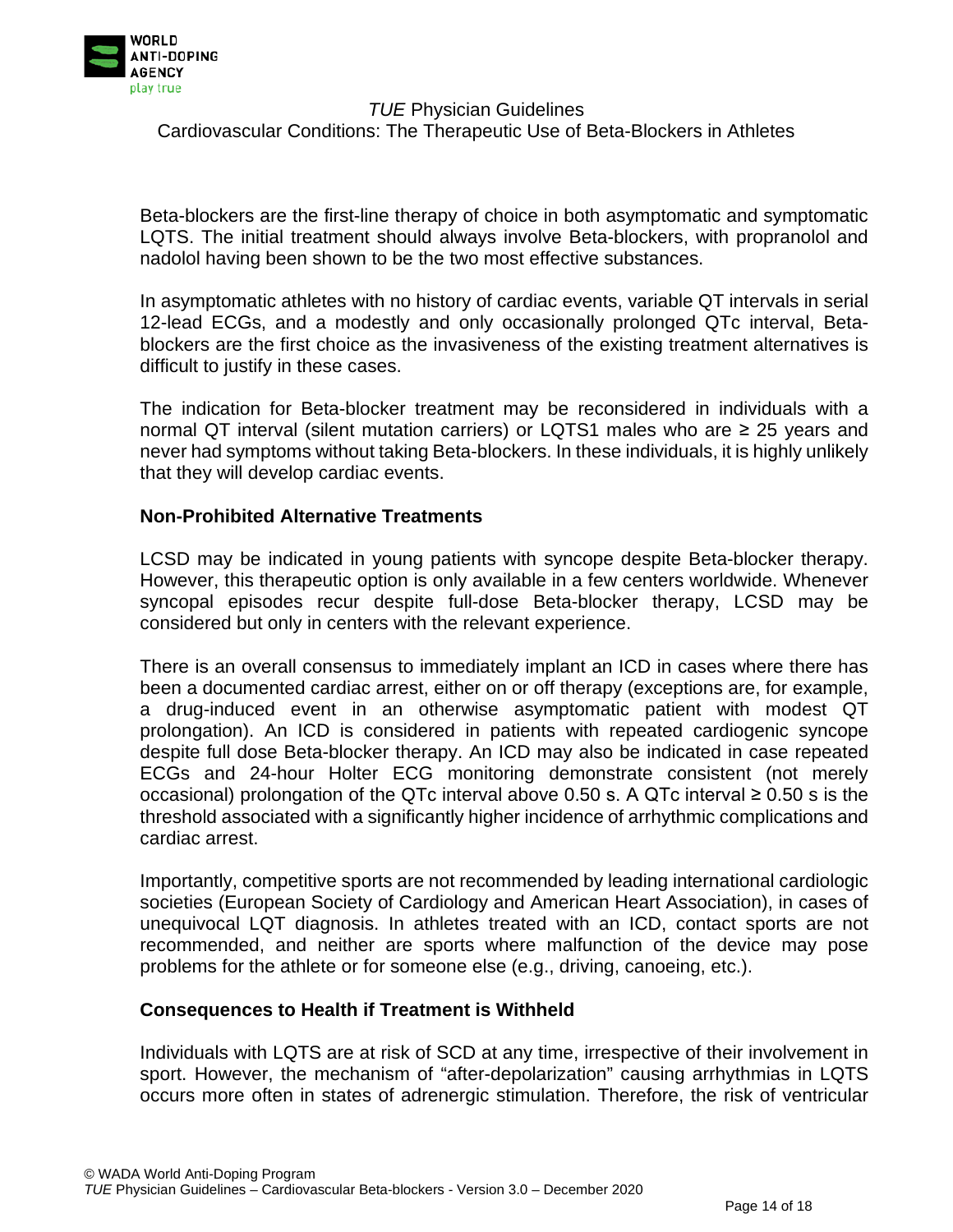

Beta-blockers are the first-line therapy of choice in both asymptomatic and symptomatic LQTS. The initial treatment should always involve Beta-blockers, with propranolol and nadolol having been shown to be the two most effective substances.

In asymptomatic athletes with no history of cardiac events, variable QT intervals in serial 12-lead ECGs, and a modestly and only occasionally prolonged QTc interval, Betablockers are the first choice as the invasiveness of the existing treatment alternatives is difficult to justify in these cases.

The indication for Beta-blocker treatment may be reconsidered in individuals with a normal QT interval (silent mutation carriers) or LQTS1 males who are ≥ 25 years and never had symptoms without taking Beta-blockers. In these individuals, it is highly unlikely that they will develop cardiac events.

#### **Non-Prohibited Alternative Treatments**

LCSD may be indicated in young patients with syncope despite Beta-blocker therapy. However, this therapeutic option is only available in a few centers worldwide. Whenever syncopal episodes recur despite full-dose Beta-blocker therapy, LCSD may be considered but only in centers with the relevant experience.

There is an overall consensus to immediately implant an ICD in cases where there has been a documented cardiac arrest, either on or off therapy (exceptions are, for example, a drug-induced event in an otherwise asymptomatic patient with modest QT prolongation). An ICD is considered in patients with repeated cardiogenic syncope despite full dose Beta-blocker therapy. An ICD may also be indicated in case repeated ECGs and 24-hour Holter ECG monitoring demonstrate consistent (not merely occasional) prolongation of the QTc interval above 0.50 s. A QTc interval  $\geq$  0.50 s is the threshold associated with a significantly higher incidence of arrhythmic complications and cardiac arrest.

Importantly, competitive sports are not recommended by leading international cardiologic societies (European Society of Cardiology and American Heart Association), in cases of unequivocal LQT diagnosis. In athletes treated with an ICD, contact sports are not recommended, and neither are sports where malfunction of the device may pose problems for the athlete or for someone else (e.g., driving, canoeing, etc.).

#### **Consequences to Health if Treatment is Withheld**

Individuals with LQTS are at risk of SCD at any time, irrespective of their involvement in sport. However, the mechanism of "after-depolarization" causing arrhythmias in LQTS occurs more often in states of adrenergic stimulation. Therefore, the risk of ventricular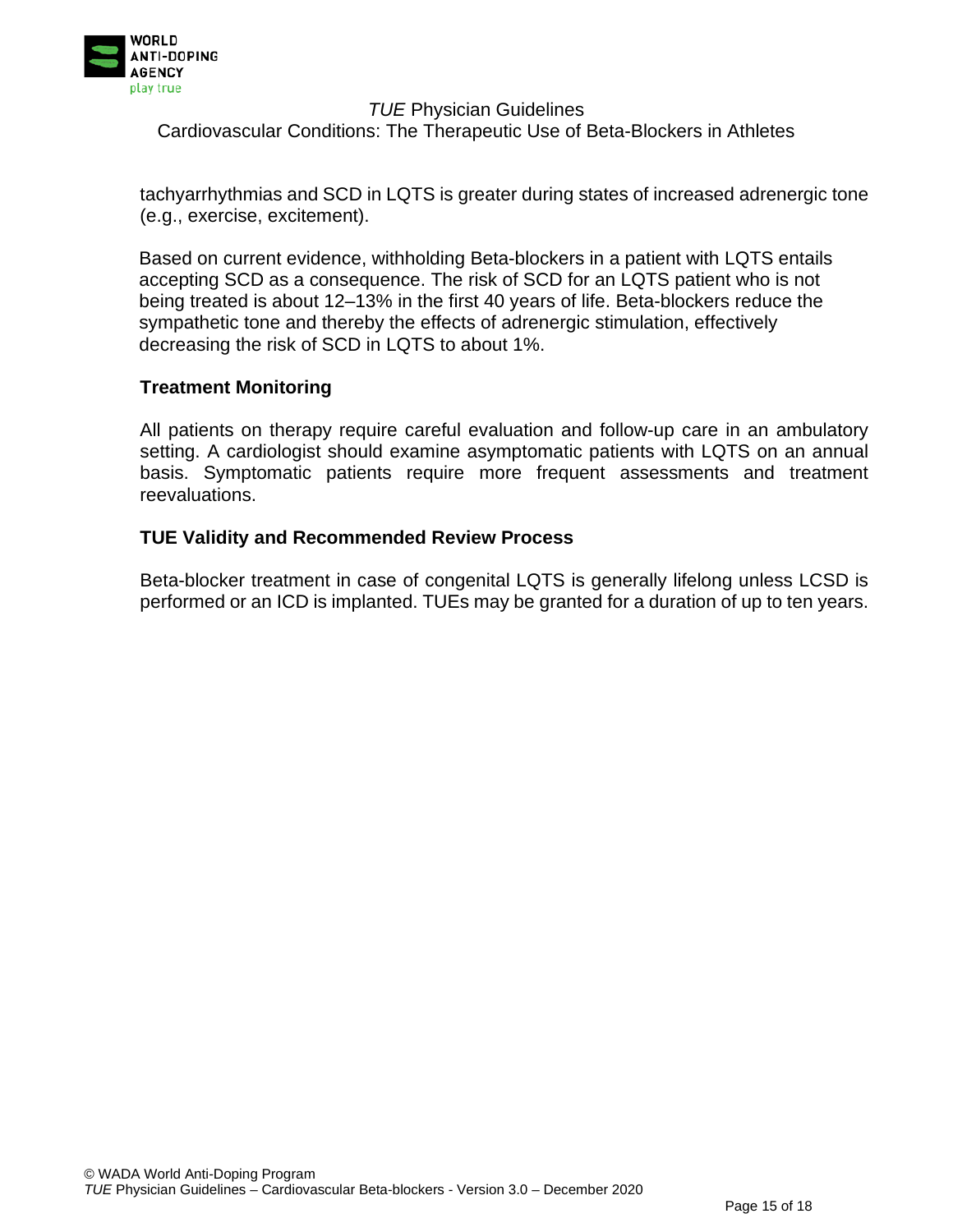

tachyarrhythmias and SCD in LQTS is greater during states of increased adrenergic tone (e.g., exercise, excitement).

Based on current evidence, withholding Beta-blockers in a patient with LQTS entails accepting SCD as a consequence. The risk of SCD for an LQTS patient who is not being treated is about 12–13% in the first 40 years of life. Beta-blockers reduce the sympathetic tone and thereby the effects of adrenergic stimulation, effectively decreasing the risk of SCD in LQTS to about 1%.

## **Treatment Monitoring**

All patients on therapy require careful evaluation and follow-up care in an ambulatory setting. A cardiologist should examine asymptomatic patients with LQTS on an annual basis. Symptomatic patients require more frequent assessments and treatment reevaluations.

## **TUE Validity and Recommended Review Process**

Beta-blocker treatment in case of congenital LQTS is generally lifelong unless LCSD is performed or an ICD is implanted. TUEs may be granted for a duration of up to ten years.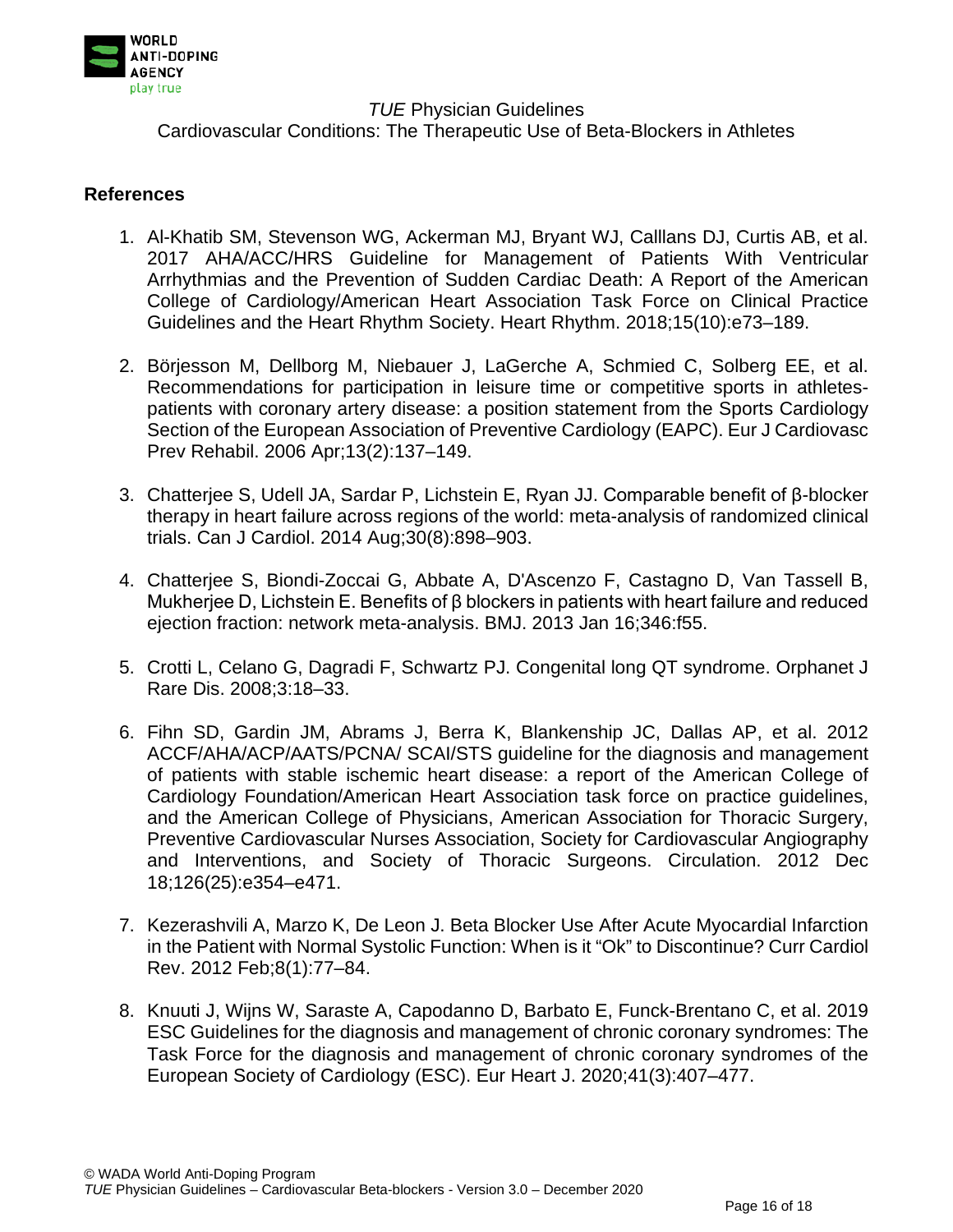

## **References**

- 1. Al-Khatib SM, Stevenson WG, Ackerman MJ, Bryant WJ, Calllans DJ, Curtis AB, et al. 2017 AHA/ACC/HRS Guideline for Management of Patients With Ventricular Arrhythmias and the Prevention of Sudden Cardiac Death: A Report of the American College of Cardiology/American Heart Association Task Force on Clinical Practice Guidelines and the Heart Rhythm Society. Heart Rhythm. 2018;15(10):e73–189.
- 2. Börjesson M, Dellborg M, Niebauer J, LaGerche A, Schmied C, Solberg EE, et al. Recommendations for participation in leisure time or competitive sports in athletespatients with coronary artery disease: a position statement from the Sports Cardiology Section of the European Association of Preventive Cardiology (EAPC). Eur J Cardiovasc Prev Rehabil. 2006 Apr;13(2):137–149.
- 3. Chatterjee S, Udell JA, Sardar P, Lichstein E, Ryan JJ. Comparable benefit of β-blocker therapy in heart failure across regions of the world: meta-analysis of randomized clinical trials. Can J Cardiol. 2014 Aug;30(8):898–903.
- 4. Chatterjee S, Biondi-Zoccai G, Abbate A, D'Ascenzo F, Castagno D, Van Tassell B, Mukherjee D, Lichstein E. Benefits of β blockers in patients with heart failure and reduced ejection fraction: network meta-analysis. BMJ. 2013 Jan 16;346:f55.
- 5. Crotti L, Celano G, Dagradi F, Schwartz PJ. Congenital long QT syndrome. Orphanet J Rare Dis. 2008;3:18–33.
- 6. Fihn SD, Gardin JM, Abrams J, Berra K, Blankenship JC, Dallas AP, et al. 2012 ACCF/AHA/ACP/AATS/PCNA/ SCAI/STS guideline for the diagnosis and management of patients with stable ischemic heart disease: a report of the American College of Cardiology Foundation/American Heart Association task force on practice guidelines, and the American College of Physicians, American Association for Thoracic Surgery, Preventive Cardiovascular Nurses Association, Society for Cardiovascular Angiography and Interventions, and Society of Thoracic Surgeons. Circulation. 2012 Dec 18;126(25):e354–e471.
- 7. Kezerashvili A, Marzo K, De Leon J. Beta Blocker Use After Acute Myocardial Infarction in the Patient with Normal Systolic Function: When is it "Ok" to Discontinue? Curr Cardiol Rev. 2012 Feb;8(1):77–84.
- 8. Knuuti J, Wijns W, Saraste A, Capodanno D, Barbato E, Funck-Brentano C, et al. 2019 ESC Guidelines for the diagnosis and management of chronic coronary syndromes: The Task Force for the diagnosis and management of chronic coronary syndromes of the European Society of Cardiology (ESC). Eur Heart J. 2020;41(3):407–477.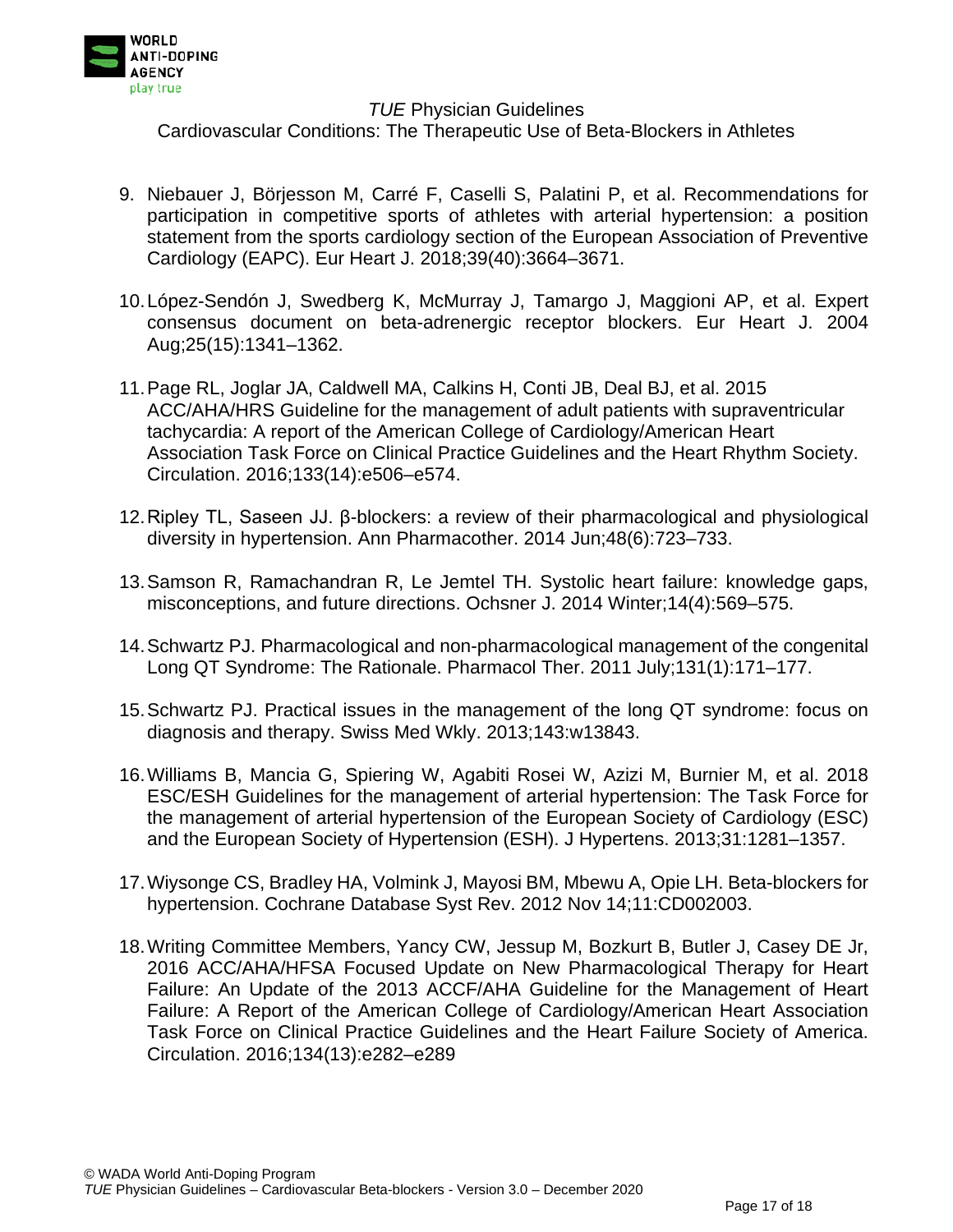

- 9. Niebauer J, Börjesson M, Carré F, Caselli S, Palatini P, et al. Recommendations for participation in competitive sports of athletes with arterial hypertension: a position statement from the sports cardiology section of the European Association of Preventive Cardiology (EAPC). Eur Heart J. 2018;39(40):3664–3671.
- 10.López-Sendón J, Swedberg K, McMurray J, Tamargo J, Maggioni AP, et al. Expert consensus document on beta-adrenergic receptor blockers. Eur Heart J. 2004 Aug;25(15):1341–1362.
- 11.Page RL, Joglar JA, Caldwell MA, Calkins H, Conti JB, Deal BJ, et al. 2015 ACC/AHA/HRS Guideline for the management of adult patients with supraventricular tachycardia: A report of the American College of Cardiology/American Heart Association Task Force on Clinical Practice Guidelines and the Heart Rhythm Society. Circulation. 2016;133(14):e506–e574.
- 12.Ripley TL, Saseen JJ. β-blockers: a review of their pharmacological and physiological diversity in hypertension. Ann Pharmacother. 2014 Jun;48(6):723–733.
- 13.Samson R, Ramachandran R, Le Jemtel TH. Systolic heart failure: knowledge gaps, misconceptions, and future directions. Ochsner J. 2014 Winter;14(4):569–575.
- 14.Schwartz PJ. Pharmacological and non-pharmacological management of the congenital Long QT Syndrome: The Rationale. Pharmacol Ther. 2011 July;131(1):171–177.
- 15.Schwartz PJ. Practical issues in the management of the long QT syndrome: focus on diagnosis and therapy. Swiss Med Wkly. 2013;143:w13843.
- 16.Williams B, Mancia G, Spiering W, Agabiti Rosei W, Azizi M, Burnier M, et al. 2018 ESC/ESH Guidelines for the management of arterial hypertension: The Task Force for the management of arterial hypertension of the European Society of Cardiology (ESC) and the European Society of Hypertension (ESH). J Hypertens. 2013;31:1281–1357.
- 17.Wiysonge CS, Bradley HA, Volmink J, Mayosi BM, Mbewu A, Opie LH. Beta-blockers for hypertension. Cochrane Database Syst Rev. 2012 Nov 14;11:CD002003.
- 18.Writing Committee Members, Yancy CW, Jessup M, Bozkurt B, Butler J, Casey DE Jr, 2016 ACC/AHA/HFSA Focused Update on New Pharmacological Therapy for Heart Failure: An Update of the 2013 ACCF/AHA Guideline for the Management of Heart Failure: A Report of the American College of Cardiology/American Heart Association Task Force on Clinical Practice Guidelines and the Heart Failure Society of America. Circulation. 2016;134(13):e282–e289